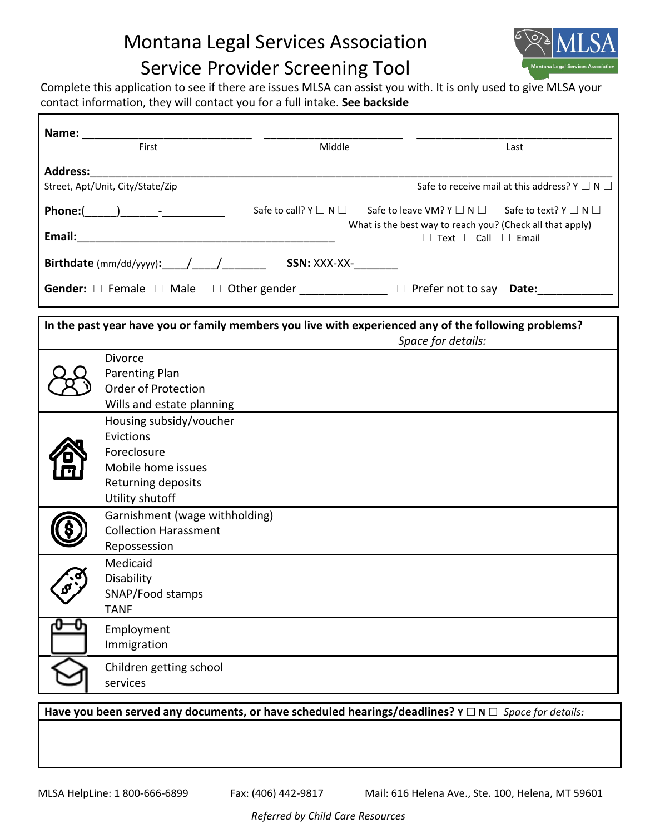# Montana Legal Services Association Service Provider Screening Tool



٦

Complete this application to see if there are issues MLSA can assist you with. It is only used to give MLSA your contact information, they will contact you for a full intake. **See backside**

| First<br>Middle                                                                                                                                                                                                                              | Last                                                                                                                                                                                                                 |
|----------------------------------------------------------------------------------------------------------------------------------------------------------------------------------------------------------------------------------------------|----------------------------------------------------------------------------------------------------------------------------------------------------------------------------------------------------------------------|
|                                                                                                                                                                                                                                              |                                                                                                                                                                                                                      |
| Street, Apt/Unit, City/State/Zip                                                                                                                                                                                                             | Safe to receive mail at this address? $Y \square N \square$                                                                                                                                                          |
|                                                                                                                                                                                                                                              | Safe to call? $Y \square N \square$ Safe to leave VM? $Y \square N \square$ Safe to text? $Y \square N \square$<br>What is the best way to reach you? (Check all that apply)<br>$\Box$ Text $\Box$ Call $\Box$ Email |
| Birthdate (mm/dd/yyyy): / / / / / SSN: XXX-XX-                                                                                                                                                                                               |                                                                                                                                                                                                                      |
| Gender: $\Box$ Female $\Box$ Male $\Box$ Other gender _____________ $\Box$ Prefer not to say Date: ________                                                                                                                                  |                                                                                                                                                                                                                      |
| In the past year have you or family members you live with experienced any of the following problems?<br>Space for details:                                                                                                                   |                                                                                                                                                                                                                      |
| <b>Divorce</b><br>Parenting Plan<br>Order of Protection<br>Wills and estate planning<br>Housing subsidy/voucher<br>Evictions<br>Foreclosure<br>Mobile home issues<br>Returning deposits<br>Utility shutoff<br>Garnishment (wage withholding) |                                                                                                                                                                                                                      |
| <b>Collection Harassment</b><br>Repossession                                                                                                                                                                                                 |                                                                                                                                                                                                                      |
| Medicaid<br>Disability<br>SNAP/Food stamps<br><b>TANF</b>                                                                                                                                                                                    |                                                                                                                                                                                                                      |
| Employment<br>Immigration                                                                                                                                                                                                                    |                                                                                                                                                                                                                      |
| Children getting school<br>services                                                                                                                                                                                                          |                                                                                                                                                                                                                      |
| Have you been served any documents, or have scheduled hearings/deadlines? $Y \square N \square$ Space for details:                                                                                                                           |                                                                                                                                                                                                                      |

Г